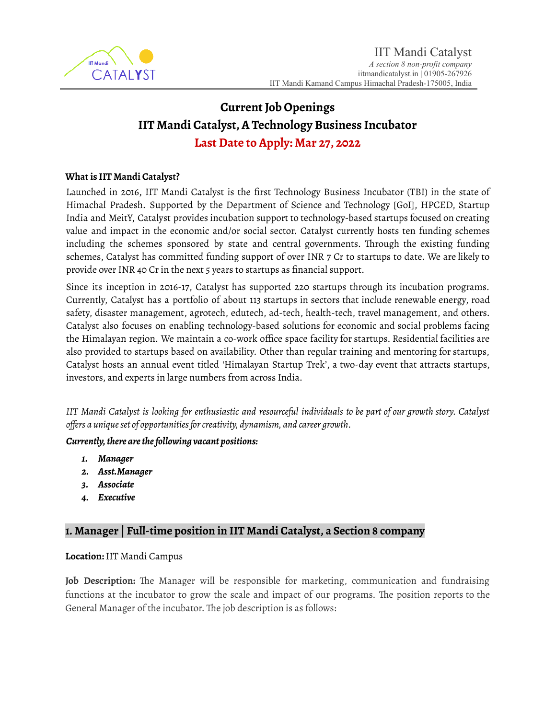

# **Current Job Openings IIT Mandi Catalyst,A Technology Business Incubator Last Date to Apply: Mar 27, 2022**

#### **What is IIT Mandi Catalyst?**

Launched in 2016, IIT Mandi Catalyst is the first Technology Business Incubator (TBI) in the state of Himachal Pradesh. Supported by the Department of Science and Technology [GoI], HPCED, Startup India and MeitY, Catalyst provides incubation support to technology-based startups focused on creating value and impact in the economic and/or social sector. Catalyst currently hosts ten funding schemes including the schemes sponsored by state and central governments. Through the existing funding schemes, Catalyst has committed funding support of over INR 7 Cr to startups to date. We are likely to provide over INR 40 Cr in the next 5 years to startups as financial support.

Since its inception in 2016-17, Catalyst has supported 220 startups through its incubation programs. Currently, Catalyst has a portfolio of about 113 startups in sectors that include renewable energy, road safety, disaster management, agrotech, edutech, ad-tech, health-tech, travel management, and others. Catalyst also focuses on enabling technology-based solutions for economic and social problems facing the Himalayan region. We maintain a co-work office space facility for startups. Residential facilities are also provided to startups based on availability. Other than regular training and mentoring for startups, Catalyst hosts an annual event titled 'Himalayan Startup Trek', a two-day event that attracts startups, investors, and experts in large numbers from across India.

IIT Mandi Catalyst is looking for enthusiastic and resourceful individuals to be part of our growth story. Catalyst *offers a uniqueset of opportunitiesforcreativity, dynamism, and career growth.*

#### *Currently, there are the following vacant positions:*

- *1. Manager*
- *2. Asst.Manager*
- *3. Associate*
- *4. Executive*

## **1***.* **Manager | Full-time position in IIT Mandi Catalyst, a Section 8 company**

#### **Location:**IIT Mandi Campus

**Job Description:** The Manager will be responsible for marketing, communication and fundraising functions at the incubator to grow the scale and impact of our programs. The position reports to the General Manager of the incubator. The job description is as follows: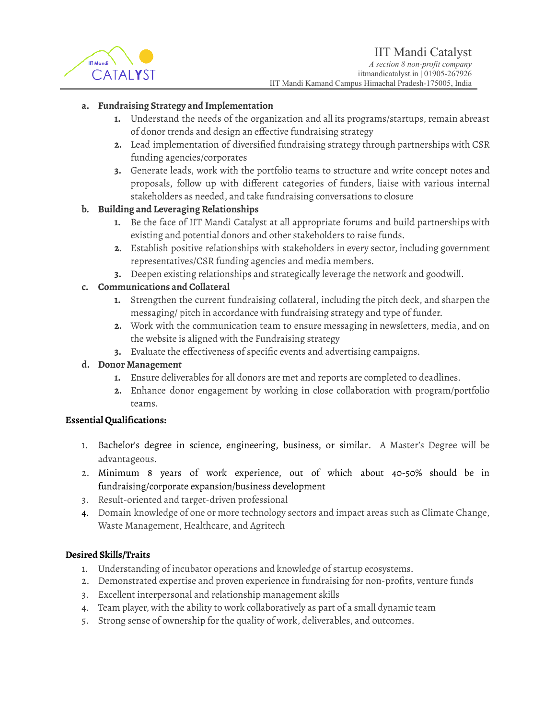

#### **a. Fundraising Strategy and Implementation**

- **1.** Understand the needs of the organization and all its programs/startups, remain abreast of donor trends and design an effective fundraising strategy
- **2.** Lead implementation of diversified fundraising strategy through partnerships with CSR funding agencies/corporates
- **3.** Generate leads, work with the portfolio teams to structure and write concept notes and proposals, follow up with different categories of funders, liaise with various internal stakeholders as needed, and take fundraising conversations to closure

## **b. Building and Leveraging Relationships**

- **1.** Be the face of IIT Mandi Catalyst at all appropriate forums and build partnerships with existing and potential donors and other stakeholders to raise funds.
- **2.** Establish positive relationships with stakeholders in every sector, including government representatives/CSR funding agencies and media members.
- **3.** Deepen existing relationships and strategically leverage the network and goodwill.

#### **c. Communications and Collateral**

- **1.** Strengthen the current fundraising collateral, including the pitch deck, and sharpen the messaging/ pitch in accordance with fundraising strategy and type of funder.
- **2.** Work with the communication team to ensure messaging in newsletters, media, and on the website is aligned with the Fundraising strategy
- **3.** Evaluate the effectiveness of specific events and advertising campaigns.

### **d. Donor Management**

- **1.** Ensure deliverables for all donors are met and reports are completed to deadlines.
- **2.** Enhance donor engagement by working in close collaboration with program/portfolio teams.

#### **Essential Qualifications:**

- 1. Bachelor's degree in science, engineering, business, or similar. A Master's Degree will be advantageous.
- 2. Minimum 8 years of work experience, out of which about 40-50% should be in fundraising/corporate expansion/business development
- 3. Result-oriented and target-driven professional
- 4. Domain knowledge of one or more technology sectors and impact areas such as Climate Change, Waste Management, Healthcare, and Agritech

#### **Desired Skills/Traits**

- 1. Understanding of incubator operations and knowledge of startup ecosystems.
- 2. Demonstrated expertise and proven experience in fundraising for non-profits, venture funds
- 3. Excellent interpersonal and relationship management skills
- 4. Team player, with the ability to work collaboratively as part of a small dynamic team
- 5. Strong sense of ownership for the quality of work, deliverables, and outcomes.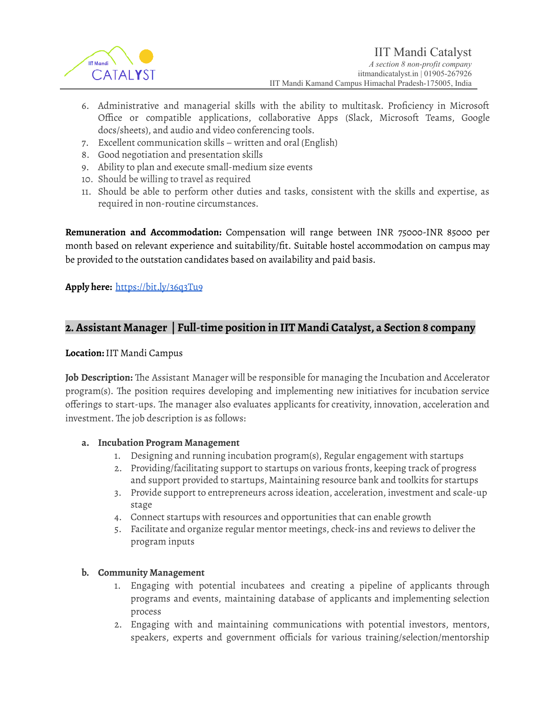

- 6. Administrative and managerial skills with the ability to multitask. Proficiency in Microsoft Office or compatible applications, collaborative Apps (Slack, Microsoft Teams, Google docs/sheets), and audio and video conferencing tools.
- 7. Excellent communication skills written and oral (English)
- 8. Good negotiation and presentation skills
- 9. Ability to plan and execute small-medium size events
- 10. Should be willing to travel as required
- 11. Should be able to perform other duties and tasks, consistent with the skills and expertise, as required in non-routine circumstances.

**Remuneration and Accommodation:** Compensation will range between INR 75000-INR 85000 per month based on relevant experience and suitability/fit. Suitable hostel accommodation on campus may be provided to the outstation candidates based on availability and paid basis.

#### **Apply here:** <https://bit.ly/36q3Tu9>

## **2***.***Assistant Manager | Full-time position in IIT Mandi Catalyst, a Section 8 company**

#### **Location:**IIT Mandi Campus

**Job Description:** The Assistant Manager will be responsible for managing the Incubation and Accelerator program(s). The position requires developing and implementing new initiatives for incubation service offerings to start-ups. The manager also evaluates applicants for creativity, innovation, acceleration and investment. The job description is as follows:

#### **a. Incubation Program Management**

- 1. Designing and running incubation program(s), Regular engagement with startups
- 2. Providing/facilitating support to startups on various fronts, keeping track of progress and support provided to startups, Maintaining resource bank and toolkits for startups
- 3. Provide support to entrepreneurs across ideation, acceleration, investment and scale-up stage
- 4. Connect startups with resources and opportunities that can enable growth
- 5. Facilitate and organize regular mentor meetings, check-ins and reviews to deliver the program inputs

#### **b. Community Management**

- 1. Engaging with potential incubatees and creating a pipeline of applicants through programs and events, maintaining database of applicants and implementing selection process
- 2. Engaging with and maintaining communications with potential investors, mentors, speakers, experts and government officials for various training/selection/mentorship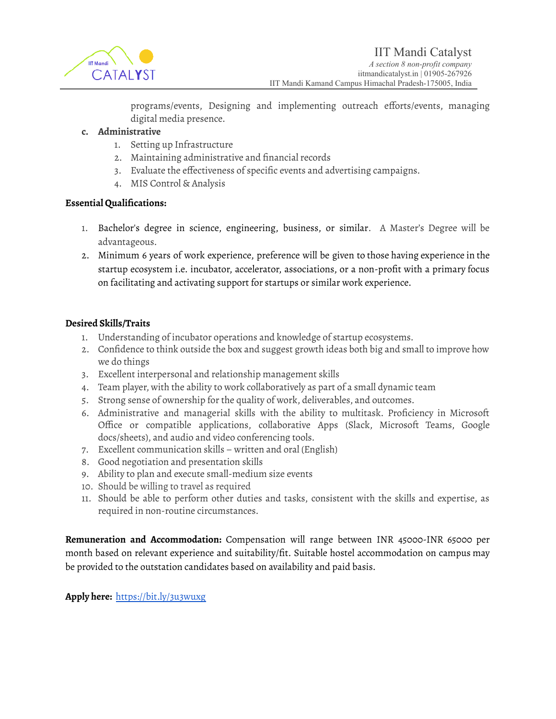

programs/events, Designing and implementing outreach efforts/events, managing digital media presence.

#### **c. Administrative**

- 1. Setting up Infrastructure
- 2. Maintaining administrative and financial records
- 3. Evaluate the effectiveness of specific events and advertising campaigns.
- 4. MIS Control & Analysis

#### **Essential Qualifications:**

- 1. Bachelor's degree in science, engineering, business, or similar. A Master's Degree will be advantageous.
- 2. Minimum 6 years of work experience, preference will be given to those having experience in the startup ecosystem i.e. incubator, accelerator, associations, or a non-profit with a primary focus on facilitating and activating support for startups or similar work experience.

#### **Desired Skills/Traits**

- 1. Understanding of incubator operations and knowledge of startup ecosystems.
- 2. Confidence to think outside the box and suggest growth ideas both big and small to improve how we do things
- 3. Excellent interpersonal and relationship management skills
- 4. Team player, with the ability to work collaboratively as part of a small dynamic team
- 5. Strong sense of ownership for the quality of work, deliverables, and outcomes.
- 6. Administrative and managerial skills with the ability to multitask. Proficiency in Microsoft Office or compatible applications, collaborative Apps (Slack, Microsoft Teams, Google docs/sheets), and audio and video conferencing tools.
- 7. Excellent communication skills written and oral (English)
- 8. Good negotiation and presentation skills
- 9. Ability to plan and execute small-medium size events
- 10. Should be willing to travel as required
- 11. Should be able to perform other duties and tasks, consistent with the skills and expertise, as required in non-routine circumstances.

**Remuneration and Accommodation:** Compensation will range between INR 45000-INR 65000 per month based on relevant experience and suitability/fit. Suitable hostel accommodation on campus may be provided to the outstation candidates based on availability and paid basis.

**Apply here:** <https://bit.ly/3u3wuxg>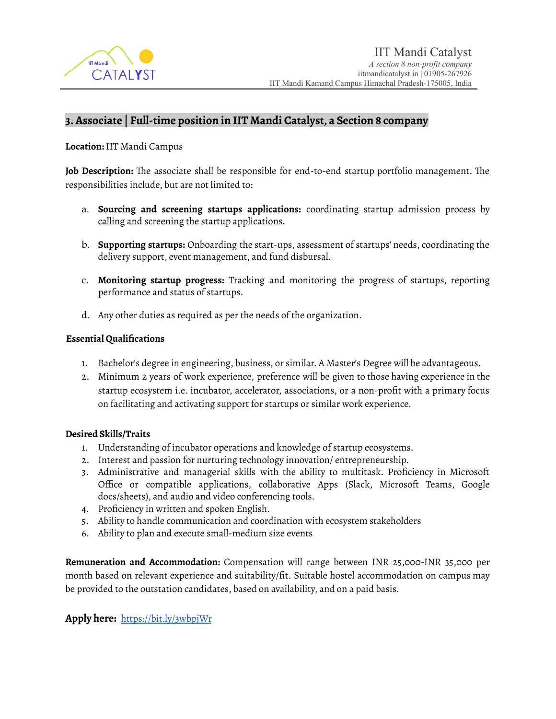

## **3.Associate | Full-time position in IIT Mandi Catalyst, a Section 8 company**

**Location:**IIT Mandi Campus

**Job Description:** The associate shall be responsible for end-to-end startup portfolio management. The responsibilities include, but are not limited to:

- a. **Sourcing and screening startups applications:** coordinating startup admission process by calling and screening the startup applications.
- b. **Supporting startups:** Onboarding the start-ups, assessment of startups' needs, coordinating the delivery support, event management, and fund disbursal.
- c. **Monitoring startup progress:** Tracking and monitoring the progress of startups, reporting performance and status of startups.
- d. Any other duties as required as per the needs of the organization.

#### **Essential Qualifications**

- 1. Bachelor's degree in engineering, business, or similar. A Master's Degree will be advantageous.
- 2. Minimum 2 years of work experience, preference will be given to those having experience in the startup ecosystem i.e. incubator, accelerator, associations, or a non-profit with a primary focus on facilitating and activating support for startups or similar work experience.

#### **Desired Skills/Traits**

- 1. Understanding of incubator operations and knowledge of startup ecosystems.
- 2. Interest and passion for nurturing technology innovation/ entrepreneurship.
- 3. Administrative and managerial skills with the ability to multitask. Proficiency in Microsoft Office or compatible applications, collaborative Apps (Slack, Microsoft Teams, Google docs/sheets), and audio and video conferencing tools.
- 4. Proficiency in written and spoken English.
- 5. Ability to handle communication and coordination with ecosystem stakeholders
- 6. Ability to plan and execute small-medium size events

**Remuneration and Accommodation:** Compensation will range between INR 25,000-INR 35,000 per month based on relevant experience and suitability/fit. Suitable hostel accommodation on campus may be provided to the outstation candidates, based on availability, and on a paid basis.

#### **Apply here:** <https://bit.ly/3wbpjWr>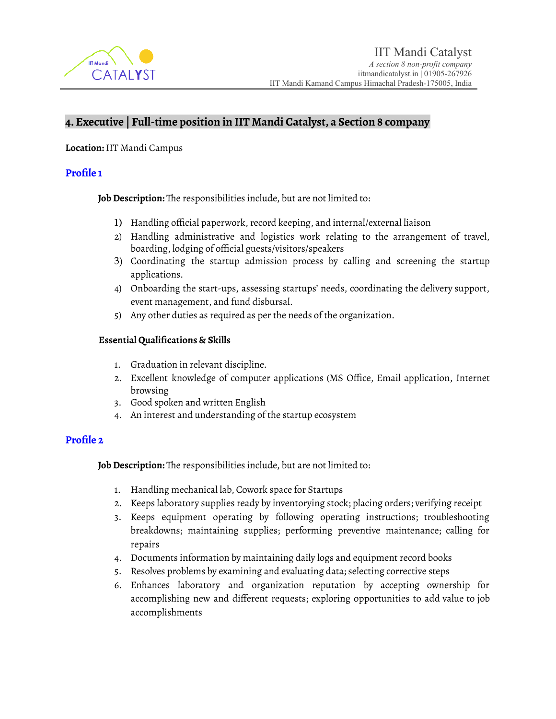

# **4. Executive | Full-time position in IIT Mandi Catalyst, a Section 8 company**

**Location:**IIT Mandi Campus

#### **Profile 1**

**Job Description:** The responsibilities include, but are not limited to:

- 1) Handling official paperwork, record keeping, and internal/external liaison
- 2) Handling administrative and logistics work relating to the arrangement of travel, boarding, lodging of official guests/visitors/speakers
- 3) Coordinating the startup admission process by calling and screening the startup applications.
- 4) Onboarding the start-ups, assessing startups' needs, coordinating the delivery support, event management, and fund disbursal.
- 5) Any other duties as required as per the needs of the organization.

#### **Essential Qualifications & Skills**

- 1. Graduation in relevant discipline.
- 2. Excellent knowledge of computer applications (MS Office, Email application, Internet browsing
- 3. Good spoken and written English
- 4. An interest and understanding of the startup ecosystem

## **Profile 2**

**Job Description:** The responsibilities include, but are not limited to:

- 1. Handling mechanical lab, Cowork space for Startups
- 2. Keeps laboratory supplies ready by inventorying stock; placing orders; verifying receipt
- 3. Keeps equipment operating by following operating instructions; troubleshooting breakdowns; maintaining supplies; performing preventive maintenance; calling for repairs
- 4. Documents information by maintaining daily logs and equipment record books
- 5. Resolves problems by examining and evaluating data; selecting corrective steps
- 6. Enhances laboratory and organization reputation by accepting ownership for accomplishing new and different requests; exploring opportunities to add value to job accomplishments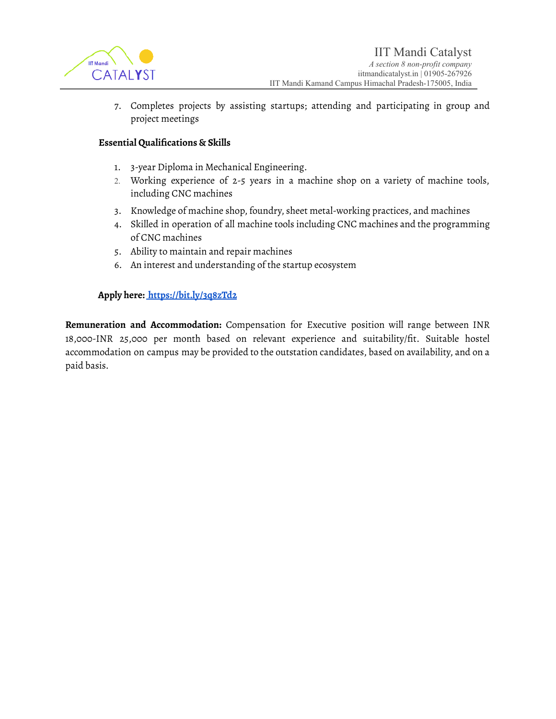

7. Completes projects by assisting startups; attending and participating in group and project meetings

#### **Essential Qualifications & Skills**

- 1. 3-year Diploma in Mechanical Engineering.
- 2. Working experience of 2-5 years in a machine shop on a variety of machine tools, including CNC machines
- 3. Knowledge of machine shop, foundry, sheet metal-working practices, and machines
- 4. Skilled in operation of all machine tools including CNC machines and the programming of CNC machines
- 5. Ability to maintain and repair machines
- 6. An interest and understanding of the startup ecosystem

#### **Apply here: <https://bit.ly/3q8zTd2>**

**Remuneration and Accommodation:** Compensation for Executive position will range between INR 18,000-INR 25,000 per month based on relevant experience and suitability/fit. Suitable hostel accommodation on campus may be provided to the outstation candidates, based on availability, and on a paid basis.